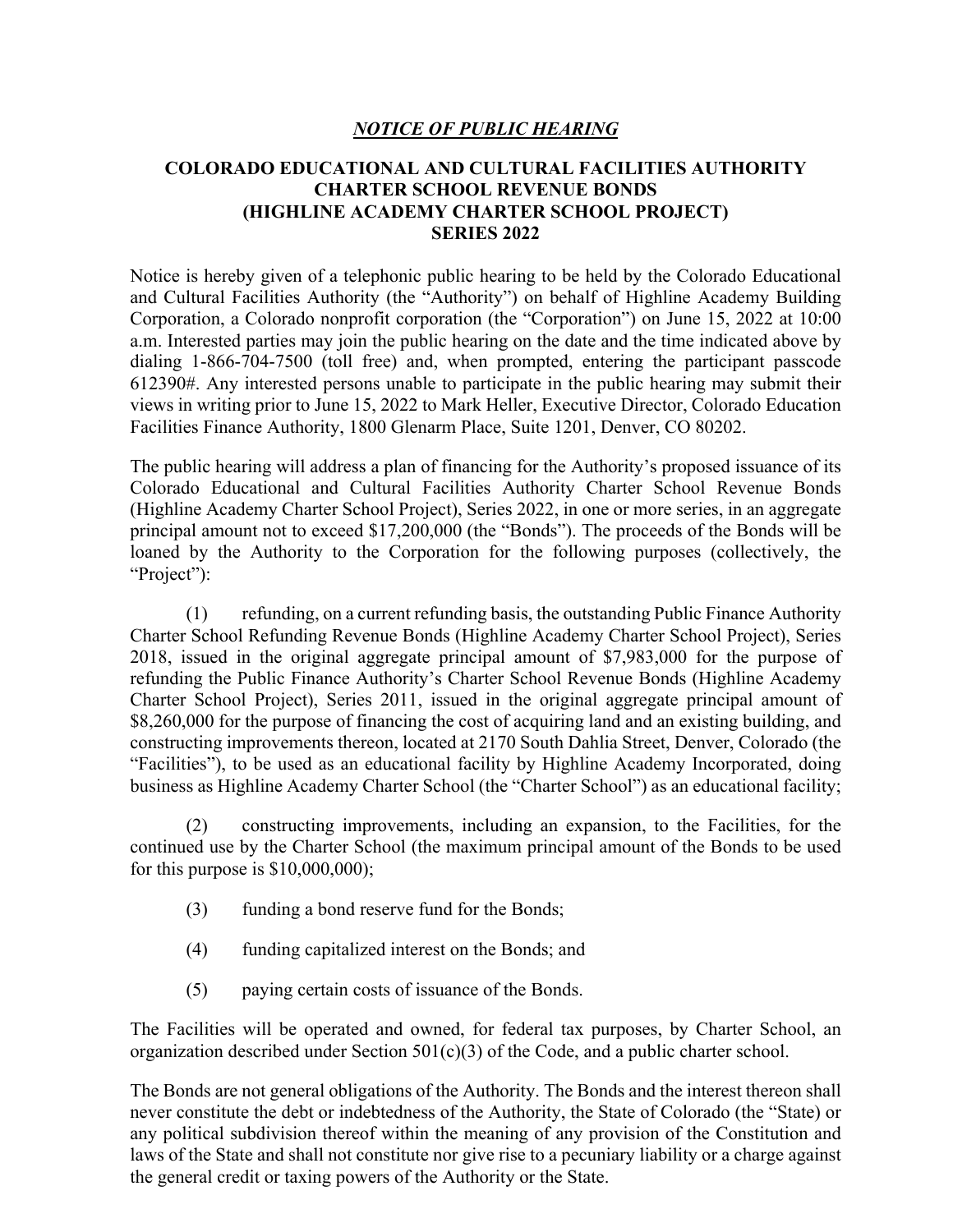## *NOTICE OF PUBLIC HEARING*

## **COLORADO EDUCATIONAL AND CULTURAL FACILITIES AUTHORITY CHARTER SCHOOL REVENUE BONDS (HIGHLINE ACADEMY CHARTER SCHOOL PROJECT) SERIES 2022**

Notice is hereby given of a telephonic public hearing to be held by the Colorado Educational and Cultural Facilities Authority (the "Authority") on behalf of Highline Academy Building Corporation, a Colorado nonprofit corporation (the "Corporation") on June 15, 2022 at 10:00 a.m. Interested parties may join the public hearing on the date and the time indicated above by dialing 1-866-704-7500 (toll free) and, when prompted, entering the participant passcode 612390#. Any interested persons unable to participate in the public hearing may submit their views in writing prior to June 15, 2022 to Mark Heller, Executive Director, Colorado Education Facilities Finance Authority, 1800 Glenarm Place, Suite 1201, Denver, CO 80202.

The public hearing will address a plan of financing for the Authority's proposed issuance of its Colorado Educational and Cultural Facilities Authority Charter School Revenue Bonds (Highline Academy Charter School Project), Series 2022, in one or more series, in an aggregate principal amount not to exceed \$17,200,000 (the "Bonds"). The proceeds of the Bonds will be loaned by the Authority to the Corporation for the following purposes (collectively, the "Project":

(1) refunding, on a current refunding basis, the outstanding Public Finance Authority Charter School Refunding Revenue Bonds (Highline Academy Charter School Project), Series 2018, issued in the original aggregate principal amount of \$7,983,000 for the purpose of refunding the Public Finance Authority's Charter School Revenue Bonds (Highline Academy Charter School Project), Series 2011, issued in the original aggregate principal amount of \$8,260,000 for the purpose of financing the cost of acquiring land and an existing building, and constructing improvements thereon, located at 2170 South Dahlia Street, Denver, Colorado (the "Facilities"), to be used as an educational facility by Highline Academy Incorporated, doing business as Highline Academy Charter School (the "Charter School") as an educational facility;

(2) constructing improvements, including an expansion, to the Facilities, for the continued use by the Charter School (the maximum principal amount of the Bonds to be used for this purpose is \$10,000,000);

- (3) funding a bond reserve fund for the Bonds;
- (4) funding capitalized interest on the Bonds; and
- (5) paying certain costs of issuance of the Bonds.

The Facilities will be operated and owned, for federal tax purposes, by Charter School, an organization described under Section 501(c)(3) of the Code, and a public charter school.

The Bonds are not general obligations of the Authority. The Bonds and the interest thereon shall never constitute the debt or indebtedness of the Authority, the State of Colorado (the "State) or any political subdivision thereof within the meaning of any provision of the Constitution and laws of the State and shall not constitute nor give rise to a pecuniary liability or a charge against the general credit or taxing powers of the Authority or the State.